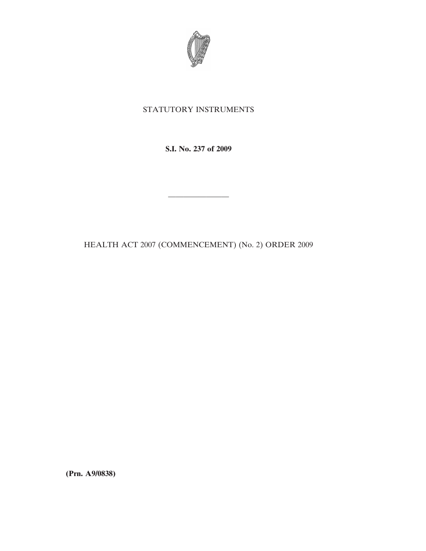

## STATUTORY INSTRUMENTS

**S.I. No. 237 of 2009**

————————

HEALTH ACT 2007 (COMMENCEMENT) (No. 2) ORDER 2009

**(Prn. A9/0838)**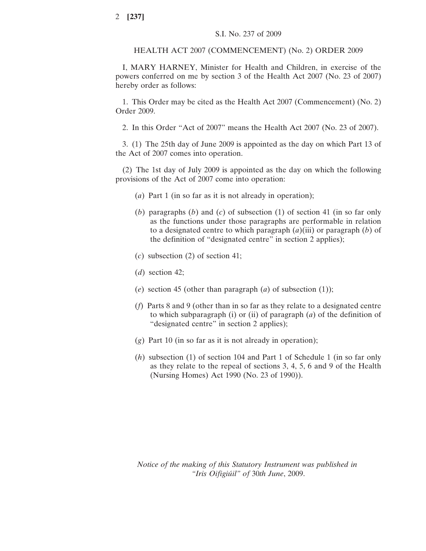## HEALTH ACT 2007 (COMMENCEMENT) (No. 2) ORDER 2009

I, MARY HARNEY, Minister for Health and Children, in exercise of the powers conferred on me by section 3 of the Health Act 2007 (No. 23 of 2007) hereby order as follows:

1. This Order may be cited as the Health Act 2007 (Commencement) (No. 2) Order 2009.

2. In this Order "Act of 2007" means the Health Act 2007 (No. 23 of 2007).

3. (1) The 25th day of June 2009 is appointed as the day on which Part 13 of the Act of 2007 comes into operation.

(2) The 1st day of July 2009 is appointed as the day on which the following provisions of the Act of 2007 come into operation:

- (*a*) Part 1 (in so far as it is not already in operation);
- (*b*) paragraphs (*b*) and (*c*) of subsection (1) of section 41 (in so far only as the functions under those paragraphs are performable in relation to a designated centre to which paragraph (*a*)(iii) or paragraph (*b*) of the definition of "designated centre" in section 2 applies);
- (*c*) subsection (2) of section 41;
- (*d*) section 42;
- (*e*) section 45 (other than paragraph (*a*) of subsection (1));
- (*f*) Parts 8 and 9 (other than in so far as they relate to a designated centre to which subparagraph (i) or (ii) of paragraph (*a*) of the definition of "designated centre" in section 2 applies);
- (*g*) Part 10 (in so far as it is not already in operation);
- (*h*) subsection (1) of section 104 and Part 1 of Schedule 1 (in so far only as they relate to the repeal of sections 3, 4, 5, 6 and 9 of the Health (Nursing Homes) Act 1990 (No. 23 of 1990)).

*Notice of the making of this Statutory Instrument was published in "Iris Oifigiu´il" of* 30*th June*, 2009.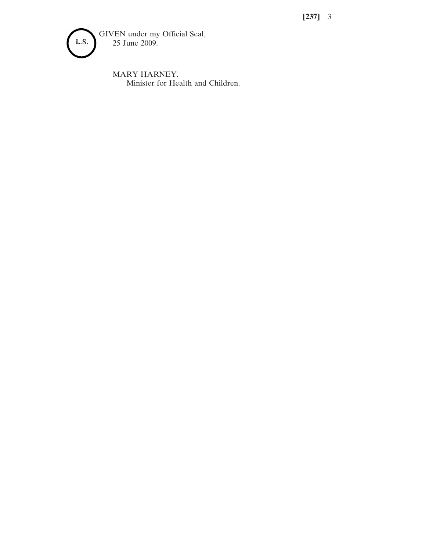**[237]** 3



MARY HARNEY. Minister for Health and Children.